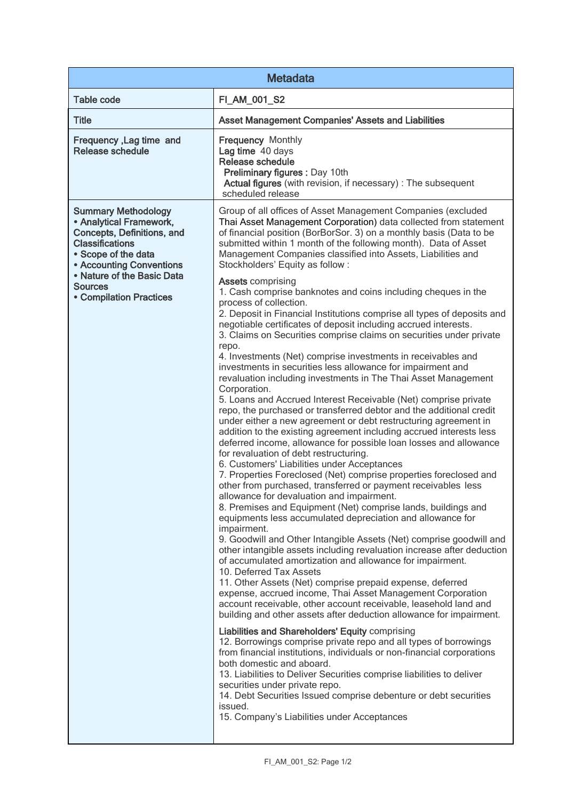| <b>Metadata</b>                                                                                                                                                                                                                                                                                                                                                                                                                                                                                                                                                                                                                                                                                                                                                                                                                                                                                                                                                                                                                                                                                                                                                                                                                                                                                                                                                                                                                                                                                                                                                                                                                                                                                                                                                                                                                                                                                                                                                                                                                                                                                                                                                                                                                                                                                                                                                                                                                                                                                                                                                                                                                                                                                                                                                                                                                                                                                                                                                                                  |  |  |
|--------------------------------------------------------------------------------------------------------------------------------------------------------------------------------------------------------------------------------------------------------------------------------------------------------------------------------------------------------------------------------------------------------------------------------------------------------------------------------------------------------------------------------------------------------------------------------------------------------------------------------------------------------------------------------------------------------------------------------------------------------------------------------------------------------------------------------------------------------------------------------------------------------------------------------------------------------------------------------------------------------------------------------------------------------------------------------------------------------------------------------------------------------------------------------------------------------------------------------------------------------------------------------------------------------------------------------------------------------------------------------------------------------------------------------------------------------------------------------------------------------------------------------------------------------------------------------------------------------------------------------------------------------------------------------------------------------------------------------------------------------------------------------------------------------------------------------------------------------------------------------------------------------------------------------------------------------------------------------------------------------------------------------------------------------------------------------------------------------------------------------------------------------------------------------------------------------------------------------------------------------------------------------------------------------------------------------------------------------------------------------------------------------------------------------------------------------------------------------------------------------------------------------------------------------------------------------------------------------------------------------------------------------------------------------------------------------------------------------------------------------------------------------------------------------------------------------------------------------------------------------------------------------------------------------------------------------------------------------------------------|--|--|
| <b>Table code</b><br>FI_AM_001_S2                                                                                                                                                                                                                                                                                                                                                                                                                                                                                                                                                                                                                                                                                                                                                                                                                                                                                                                                                                                                                                                                                                                                                                                                                                                                                                                                                                                                                                                                                                                                                                                                                                                                                                                                                                                                                                                                                                                                                                                                                                                                                                                                                                                                                                                                                                                                                                                                                                                                                                                                                                                                                                                                                                                                                                                                                                                                                                                                                                |  |  |
| <b>Title</b><br><b>Asset Management Companies' Assets and Liabilities</b>                                                                                                                                                                                                                                                                                                                                                                                                                                                                                                                                                                                                                                                                                                                                                                                                                                                                                                                                                                                                                                                                                                                                                                                                                                                                                                                                                                                                                                                                                                                                                                                                                                                                                                                                                                                                                                                                                                                                                                                                                                                                                                                                                                                                                                                                                                                                                                                                                                                                                                                                                                                                                                                                                                                                                                                                                                                                                                                        |  |  |
| <b>Frequency Monthly</b><br>Frequency, Lag time and<br>Release schedule<br>Lag time 40 days<br>Release schedule<br>Preliminary figures : Day 10th<br>Actual figures (with revision, if necessary) : The subsequent<br>scheduled release                                                                                                                                                                                                                                                                                                                                                                                                                                                                                                                                                                                                                                                                                                                                                                                                                                                                                                                                                                                                                                                                                                                                                                                                                                                                                                                                                                                                                                                                                                                                                                                                                                                                                                                                                                                                                                                                                                                                                                                                                                                                                                                                                                                                                                                                                                                                                                                                                                                                                                                                                                                                                                                                                                                                                          |  |  |
| <b>Summary Methodology</b><br>Group of all offices of Asset Management Companies (excluded<br>• Analytical Framework,<br>Thai Asset Management Corporation) data collected from statement<br>of financial position (BorBorSor. 3) on a monthly basis (Data to be<br>Concepts, Definitions, and<br><b>Classifications</b><br>submitted within 1 month of the following month). Data of Asset<br>• Scope of the data<br>Management Companies classified into Assets, Liabilities and<br><b>• Accounting Conventions</b><br>Stockholders' Equity as follow:<br>• Nature of the Basic Data<br><b>Assets comprising</b><br><b>Sources</b><br>1. Cash comprise banknotes and coins including cheques in the<br><b>• Compilation Practices</b><br>process of collection.<br>2. Deposit in Financial Institutions comprise all types of deposits and<br>negotiable certificates of deposit including accrued interests.<br>3. Claims on Securities comprise claims on securities under private<br>repo.<br>4. Investments (Net) comprise investments in receivables and<br>investments in securities less allowance for impairment and<br>revaluation including investments in The Thai Asset Management<br>Corporation.<br>5. Loans and Accrued Interest Receivable (Net) comprise private<br>repo, the purchased or transferred debtor and the additional credit<br>under either a new agreement or debt restructuring agreement in<br>addition to the existing agreement including accrued interests less<br>deferred income, allowance for possible loan losses and allowance<br>for revaluation of debt restructuring.<br>6. Customers' Liabilities under Acceptances<br>7. Properties Foreclosed (Net) comprise properties foreclosed and<br>other from purchased, transferred or payment receivables less<br>allowance for devaluation and impairment.<br>8. Premises and Equipment (Net) comprise lands, buildings and<br>equipments less accumulated depreciation and allowance for<br>impairment.<br>9. Goodwill and Other Intangible Assets (Net) comprise goodwill and<br>other intangible assets including revaluation increase after deduction<br>of accumulated amortization and allowance for impairment.<br>10. Deferred Tax Assets<br>11. Other Assets (Net) comprise prepaid expense, deferred<br>expense, accrued income, Thai Asset Management Corporation<br>account receivable, other account receivable, leasehold land and<br>building and other assets after deduction allowance for impairment.<br><b>Liabilities and Shareholders' Equity comprising</b><br>12. Borrowings comprise private repo and all types of borrowings<br>from financial institutions, individuals or non-financial corporations<br>both domestic and aboard.<br>13. Liabilities to Deliver Securities comprise liabilities to deliver<br>securities under private repo.<br>14. Debt Securities Issued comprise debenture or debt securities<br>issued.<br>15. Company's Liabilities under Acceptances |  |  |